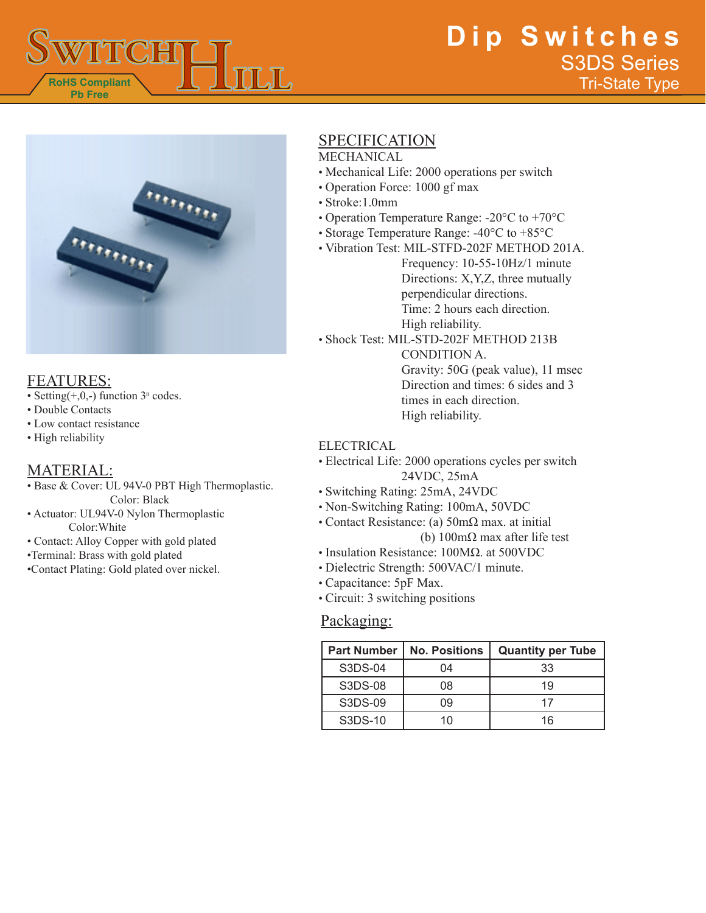



## FEATURES:

- Setting $(+,0,-)$  function  $3<sup>n</sup>$  codes.
- Double Contacts
- Low contact resistance
- High reliability

## MATERIAL:

- Base & Cover: UL 94V-0 PBT High Thermoplastic. Color: Black
- Actuator: UL94V-0 Nylon Thermoplastic Color:White
- Contact: Alloy Copper with gold plated
- •Terminal: Brass with gold plated
- •Contact Plating: Gold plated over nickel.

# SPECIFICATION

#### MECHANICAL

- Mechanical Life: 2000 operations per switch
- Operation Force: 1000 gf max
- Stroke:1.0mm
- Operation Temperature Range: -20°C to +70°C
- Storage Temperature Range: -40°C to +85°C
- Vibration Test: MIL-STFD-202F METHOD 201A.

Frequency: 10-55-10Hz/1 minute Directions: X,Y,Z, three mutually perpendicular directions. Time: 2 hours each direction. High reliability.

• Shock Test: MIL-STD-202F METHOD 213B

CONDITION A. Gravity: 50G (peak value), 11 msec Direction and times: 6 sides and 3 times in each direction. High reliability.

#### ELECTRICAL

- Electrical Life: 2000 operations cycles per switch 24VDC, 25mA
- Switching Rating: 25mA, 24VDC
- Non-Switching Rating: 100mA, 50VDC
- Contact Resistance: (a) 50mΩ max. at initial (b) 100mΩ max after life test
- Insulation Resistance: 100MΩ. at 500VDC
- Dielectric Strength: 500VAC/1 minute.
- Capacitance: 5pF Max.
- Circuit: 3 switching positions

#### Packaging:

| <b>Part Number</b> | <b>No. Positions</b> | <b>Quantity per Tube</b> |
|--------------------|----------------------|--------------------------|
| S3DS-04            | 04                   | 33                       |
| S3DS-08            | 08                   | 19                       |
| S3DS-09            | 09                   | 17                       |
| S3DS-10            | 1 በ                  | 16                       |